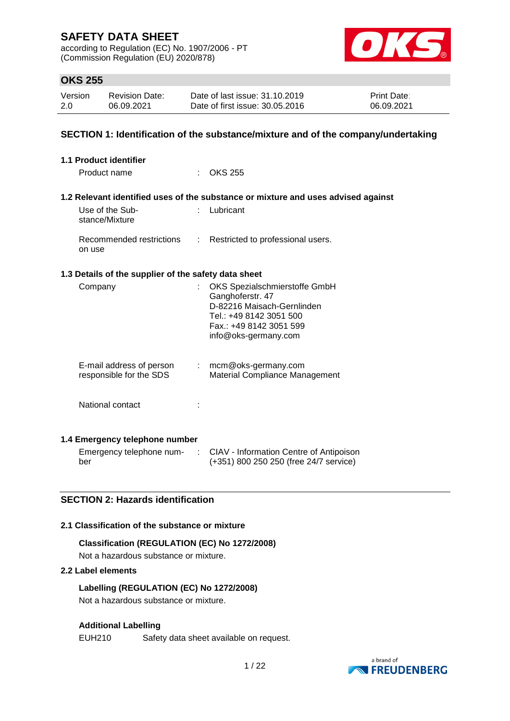according to Regulation (EC) No. 1907/2006 - PT (Commission Regulation (EU) 2020/878)



## **OKS 255**

| Version | <b>Revision Date:</b> | Date of last issue: 31.10.2019  | <b>Print Date:</b> |
|---------|-----------------------|---------------------------------|--------------------|
| 2.0     | 06.09.2021            | Date of first issue: 30.05.2016 | 06.09.2021         |

#### **SECTION 1: Identification of the substance/mixture and of the company/undertaking**

| 1.1 Product identifier                               |                                                                                                                                                               |
|------------------------------------------------------|---------------------------------------------------------------------------------------------------------------------------------------------------------------|
| Product name                                         | $:$ OKS 255                                                                                                                                                   |
|                                                      | 1.2 Relevant identified uses of the substance or mixture and uses advised against                                                                             |
| Use of the Sub-<br>stance/Mixture                    | Lubricant                                                                                                                                                     |
| Recommended restrictions<br>on use                   | : Restricted to professional users.                                                                                                                           |
| 1.3 Details of the supplier of the safety data sheet |                                                                                                                                                               |
| Company                                              | OKS Spezialschmierstoffe GmbH<br>Ganghoferstr. 47<br>D-82216 Maisach-Gernlinden<br>Tel.: +49 8142 3051 500<br>Fax.: +49 8142 3051 599<br>info@oks-germany.com |
| E-mail address of person<br>responsible for the SDS  | : mcm@oks-germany.com<br>Material Compliance Management                                                                                                       |
| National contact                                     |                                                                                                                                                               |
| 1.4 Emergency telephone number                       |                                                                                                                                                               |
| Emergency telephone num-                             | CIAV - Information Centre of Antipoison                                                                                                                       |

# **SECTION 2: Hazards identification**

#### **2.1 Classification of the substance or mixture**

## **Classification (REGULATION (EC) No 1272/2008)**

Not a hazardous substance or mixture.

### **2.2 Label elements**

ber

**Labelling (REGULATION (EC) No 1272/2008)** Not a hazardous substance or mixture.

#### **Additional Labelling**

EUH210 Safety data sheet available on request.



(+351) 800 250 250 (free 24/7 service)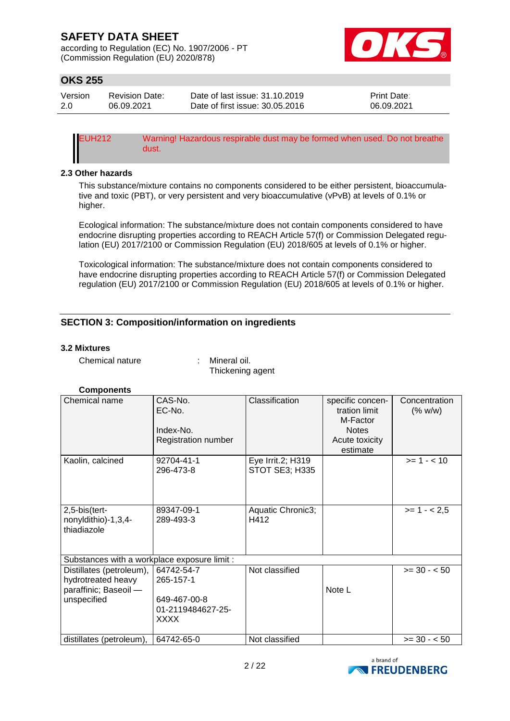according to Regulation (EC) No. 1907/2006 - PT (Commission Regulation (EU) 2020/878)



# **OKS 255**

| Version | <b>Revision Date:</b> | Date of last issue: 31.10.2019  | <b>Print Date:</b> |
|---------|-----------------------|---------------------------------|--------------------|
| 2.0     | 06.09.2021            | Date of first issue: 30.05.2016 | 06.09.2021         |

EUH212 Warning! Hazardous respirable dust may be formed when used. Do not breathe dust.

#### **2.3 Other hazards**

This substance/mixture contains no components considered to be either persistent, bioaccumulative and toxic (PBT), or very persistent and very bioaccumulative (vPvB) at levels of 0.1% or higher.

Ecological information: The substance/mixture does not contain components considered to have endocrine disrupting properties according to REACH Article 57(f) or Commission Delegated regulation (EU) 2017/2100 or Commission Regulation (EU) 2018/605 at levels of 0.1% or higher.

Toxicological information: The substance/mixture does not contain components considered to have endocrine disrupting properties according to REACH Article 57(f) or Commission Delegated regulation (EU) 2017/2100 or Commission Regulation (EU) 2018/605 at levels of 0.1% or higher.

## **SECTION 3: Composition/information on ingredients**

#### **3.2 Mixtures**

Chemical nature : Mineral oil.

Thickening agent

#### **Components**

| Chemical name                                                                          | CAS-No.<br>EC-No.<br>Index-No.<br>Registration number                | Classification                             | specific concen-<br>tration limit<br>M-Factor<br><b>Notes</b><br>Acute toxicity<br>estimate | Concentration<br>(% w/w) |
|----------------------------------------------------------------------------------------|----------------------------------------------------------------------|--------------------------------------------|---------------------------------------------------------------------------------------------|--------------------------|
| Kaolin, calcined                                                                       | 92704-41-1<br>296-473-8                                              | Eye Irrit.2; H319<br><b>STOT SE3; H335</b> |                                                                                             | $>= 1 - < 10$            |
| 2,5-bis(tert-<br>nonyldithio)-1,3,4-<br>thiadiazole                                    | 89347-09-1<br>289-493-3                                              | Aquatic Chronic3;<br>H412                  |                                                                                             | $>= 1 - 2.5$             |
| Substances with a workplace exposure limit :                                           |                                                                      |                                            |                                                                                             |                          |
| Distillates (petroleum),<br>hydrotreated heavy<br>paraffinic; Baseoil -<br>unspecified | 64742-54-7<br>265-157-1<br>649-467-00-8<br>01-2119484627-25-<br>XXXX | Not classified                             | Note L                                                                                      | $>= 30 - 50$             |
| distillates (petroleum),                                                               | 64742-65-0                                                           | Not classified                             |                                                                                             | $>= 30 - 50$             |

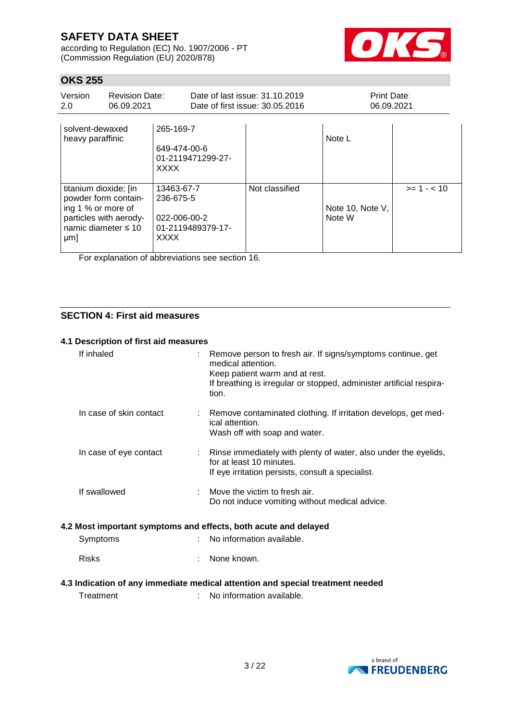according to Regulation (EC) No. 1907/2006 - PT (Commission Regulation (EU) 2020/878)



# **OKS 255**

| Version<br>2.0                                                                                                                                                                                  | <b>Revision Date:</b><br>06.09.2021 |                                          |                   | Date of last issue: 31.10.2019<br>Date of first issue: 30.05.2016 | <b>Print Date:</b><br>06.09.2021 |  |
|-------------------------------------------------------------------------------------------------------------------------------------------------------------------------------------------------|-------------------------------------|------------------------------------------|-------------------|-------------------------------------------------------------------|----------------------------------|--|
| solvent-dewaxed<br>heavy paraffinic                                                                                                                                                             |                                     | 265-169-7<br>649-474-00-6<br><b>XXXX</b> | 01-2119471299-27- |                                                                   | Note L                           |  |
| 13463-67-7<br>titanium dioxide; [in<br>powder form contain-<br>236-675-5<br>ing 1 % or more of<br>particles with aerody-<br>022-006-00-2<br>namic diameter $\leq 10$<br><b>XXXX</b><br>$\mu$ m] |                                     | 01-2119489379-17-                        | Not classified    | Note 10, Note V,<br>Note W                                        | $>= 1 - 10$                      |  |

For explanation of abbreviations see section 16.

#### **SECTION 4: First aid measures**

#### **4.1 Description of first aid measures**

| If inhaled              | Remove person to fresh air. If signs/symptoms continue, get<br>medical attention.<br>Keep patient warm and at rest.<br>If breathing is irregular or stopped, administer artificial respira-<br>tion. |
|-------------------------|------------------------------------------------------------------------------------------------------------------------------------------------------------------------------------------------------|
| In case of skin contact | : Remove contaminated clothing. If irritation develops, get med-<br>ical attention.<br>Wash off with soap and water.                                                                                 |
| In case of eye contact  | Rinse immediately with plenty of water, also under the eyelids,<br>for at least 10 minutes.<br>If eye irritation persists, consult a specialist.                                                     |
| If swallowed            | Move the victim to fresh air.<br>Do not induce vomiting without medical advice.                                                                                                                      |
|                         | 4.2 Most important symptoms and effects, both acute and delayed                                                                                                                                      |
| Symptoms                | No information available.                                                                                                                                                                            |
| <b>Risks</b>            | None known.                                                                                                                                                                                          |
|                         | 4.3 Indication of any immediate medical attention and special treatment needed                                                                                                                       |
| Treatment               | No information available.                                                                                                                                                                            |

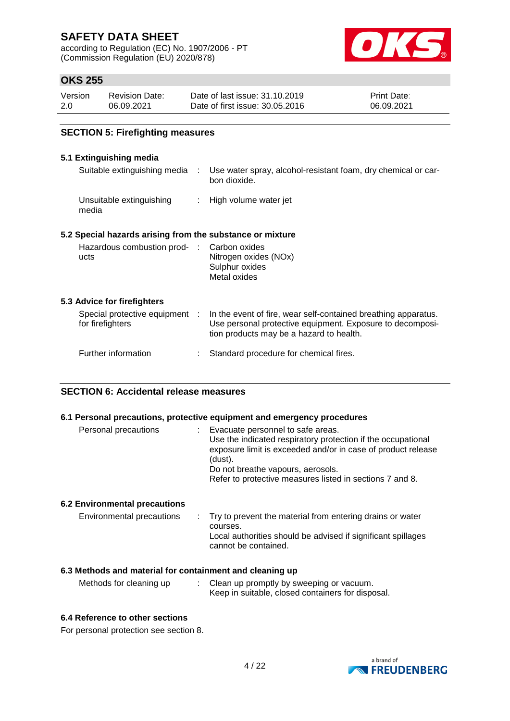according to Regulation (EC) No. 1907/2006 - PT (Commission Regulation (EU) 2020/878)



# **OKS 255**

| Version | <b>Revision Date:</b> | Date of last issue: 31.10.2019  | <b>Print Date:</b> |
|---------|-----------------------|---------------------------------|--------------------|
| 2.0     | 06.09.2021            | Date of first issue: 30.05.2016 | 06.09.2021         |

#### **SECTION 5: Firefighting measures**

#### **5.1 Extinguishing media**

| Suitable extinguishing media :                            | Use water spray, alcohol-resistant foam, dry chemical or car-<br>bon dioxide.                                                                                           |
|-----------------------------------------------------------|-------------------------------------------------------------------------------------------------------------------------------------------------------------------------|
| Unsuitable extinguishing<br>media                         | : High volume water jet                                                                                                                                                 |
| 5.2 Special hazards arising from the substance or mixture |                                                                                                                                                                         |
| Hazardous combustion prod- : Carbon oxides<br>ucts        | Nitrogen oxides (NOx)<br>Sulphur oxides<br>Metal oxides                                                                                                                 |
| 5.3 Advice for firefighters                               |                                                                                                                                                                         |
| Special protective equipment :<br>for firefighters        | In the event of fire, wear self-contained breathing apparatus.<br>Use personal protective equipment. Exposure to decomposi-<br>tion products may be a hazard to health. |
| Further information                                       | Standard procedure for chemical fires.                                                                                                                                  |
|                                                           |                                                                                                                                                                         |

#### **SECTION 6: Accidental release measures**

#### **6.1 Personal precautions, protective equipment and emergency procedures**

| Use the indicated respiratory protection if the occupational<br>exposure limit is exceeded and/or in case of product release |
|------------------------------------------------------------------------------------------------------------------------------|
|                                                                                                                              |
| Do not breathe vapours, aerosols.                                                                                            |
| Refer to protective measures listed in sections 7 and 8.                                                                     |
|                                                                                                                              |

#### **6.2 Environmental precautions**

| Environmental precautions<br>courses. | : Try to prevent the material from entering drains or water<br>Local authorities should be advised if significant spillages<br>cannot be contained. |
|---------------------------------------|-----------------------------------------------------------------------------------------------------------------------------------------------------|
|---------------------------------------|-----------------------------------------------------------------------------------------------------------------------------------------------------|

#### **6.3 Methods and material for containment and cleaning up**

| Methods for cleaning up | Clean up promptly by sweeping or vacuum.          |
|-------------------------|---------------------------------------------------|
|                         | Keep in suitable, closed containers for disposal. |

#### **6.4 Reference to other sections**

For personal protection see section 8.

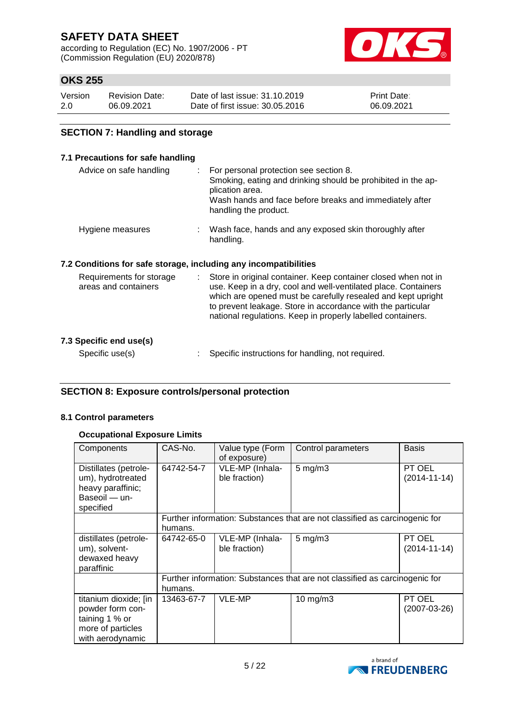according to Regulation (EC) No. 1907/2006 - PT (Commission Regulation (EU) 2020/878)



# **OKS 255**

| Version | <b>Revision Date:</b> | Date of last issue: 31.10.2019  | <b>Print Date:</b> |
|---------|-----------------------|---------------------------------|--------------------|
| 2.0     | 06.09.2021            | Date of first issue: 30.05.2016 | 06.09.2021         |

### **SECTION 7: Handling and storage**

#### **7.1 Precautions for safe handling**

| Advice on safe handling | : For personal protection see section 8.<br>Smoking, eating and drinking should be prohibited in the ap-<br>plication area.<br>Wash hands and face before breaks and immediately after<br>handling the product. |
|-------------------------|-----------------------------------------------------------------------------------------------------------------------------------------------------------------------------------------------------------------|
| Hygiene measures        | : Wash face, hands and any exposed skin thoroughly after<br>handling.                                                                                                                                           |

### **7.2 Conditions for safe storage, including any incompatibilities**

| Requirements for storage<br>areas and containers | Store in original container. Keep container closed when not in<br>use. Keep in a dry, cool and well-ventilated place. Containers<br>which are opened must be carefully resealed and kept upright<br>to prevent leakage. Store in accordance with the particular<br>national regulations. Keep in properly labelled containers. |
|--------------------------------------------------|--------------------------------------------------------------------------------------------------------------------------------------------------------------------------------------------------------------------------------------------------------------------------------------------------------------------------------|
| 7.3 Specific end use(s)                          |                                                                                                                                                                                                                                                                                                                                |
| Specific use(s)                                  | Specific instructions for handling, not required.                                                                                                                                                                                                                                                                              |

#### **SECTION 8: Exposure controls/personal protection**

#### **8.1 Control parameters**

### **Occupational Exposure Limits**

| Components                                                                                           | CAS-No.    | Value type (Form<br>of exposure) | Control parameters                                                          | <b>Basis</b>                 |
|------------------------------------------------------------------------------------------------------|------------|----------------------------------|-----------------------------------------------------------------------------|------------------------------|
| Distillates (petrole-<br>um), hydrotreated<br>heavy paraffinic;<br>Baseoil — un-<br>specified        | 64742-54-7 | VLE-MP (Inhala-<br>ble fraction) | $5 \text{ mg/m}$ 3                                                          | PT OEL<br>$(2014 - 11 - 14)$ |
|                                                                                                      | humans.    |                                  | Further information: Substances that are not classified as carcinogenic for |                              |
| distillates (petrole-<br>um), solvent-<br>dewaxed heavy<br>paraffinic                                | 64742-65-0 | VLE-MP (Inhala-<br>ble fraction) | $5 \text{ mg/m}$ 3                                                          | PT OEL<br>$(2014 - 11 - 14)$ |
|                                                                                                      | humans.    |                                  | Further information: Substances that are not classified as carcinogenic for |                              |
| titanium dioxide; [in<br>powder form con-<br>taining 1 % or<br>more of particles<br>with aerodynamic | 13463-67-7 | <b>VLE-MP</b>                    | $10$ mg/m $3$                                                               | PT OEL<br>$(2007-03-26)$     |

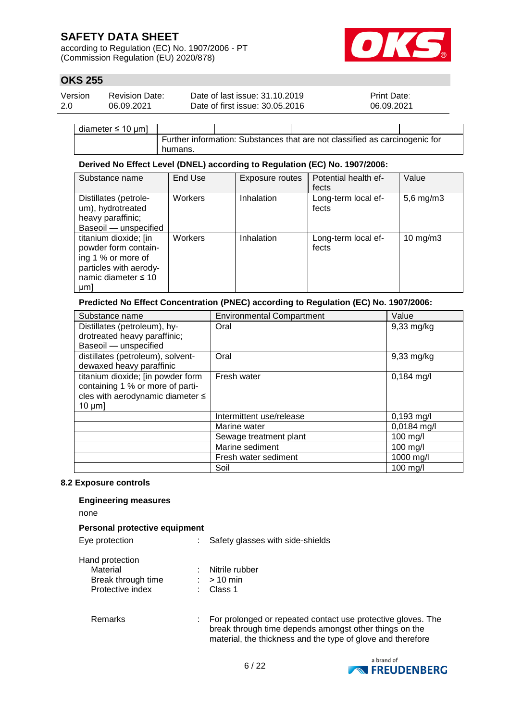according to Regulation (EC) No. 1907/2006 - PT (Commission Regulation (EU) 2020/878)



## **OKS 255**

| Version | <b>Revision Date:</b> | Date of last issue: 31.10.2019  | <b>Print Date:</b> |
|---------|-----------------------|---------------------------------|--------------------|
| 2.0     | 06.09.2021            | Date of first issue: 30.05.2016 | 06.09.2021         |

diameter ≤ 10 μm] Further information: Substances that are not classified as carcinogenic for humans.

#### **Derived No Effect Level (DNEL) according to Regulation (EC) No. 1907/2006:**

| Substance name                                                                                                                   | End Use | Exposure routes | Potential health ef-<br>fects | Value               |
|----------------------------------------------------------------------------------------------------------------------------------|---------|-----------------|-------------------------------|---------------------|
| Distillates (petrole-<br>um), hydrotreated<br>heavy paraffinic;<br>Baseoil - unspecified                                         | Workers | Inhalation      | Long-term local ef-<br>fects  | $5,6$ mg/m $3$      |
| titanium dioxide; [in<br>powder form contain-<br>ing 1 % or more of<br>particles with aerody-<br>namic diameter $\leq 10$<br>µm] | Workers | Inhalation      | Long-term local ef-<br>fects  | $10 \text{ mg/m}$ 3 |

#### **Predicted No Effect Concentration (PNEC) according to Regulation (EC) No. 1907/2006:**

| Substance name                    | <b>Environmental Compartment</b> | Value         |
|-----------------------------------|----------------------------------|---------------|
| Distillates (petroleum), hy-      | Oral                             | $9,33$ mg/kg  |
| drotreated heavy paraffinic;      |                                  |               |
| Baseoil - unspecified             |                                  |               |
| distillates (petroleum), solvent- | Oral                             | 9,33 mg/kg    |
| dewaxed heavy paraffinic          |                                  |               |
| titanium dioxide; [in powder form | Fresh water                      | $0,184$ mg/l  |
| containing 1 % or more of parti-  |                                  |               |
| cles with aerodynamic diameter ≤  |                                  |               |
| $10 \mu m$ ]                      |                                  |               |
|                                   | Intermittent use/release         | $0,193$ mg/l  |
|                                   | Marine water                     | $0,0184$ mg/l |
|                                   | Sewage treatment plant           | 100 mg/l      |
|                                   | Marine sediment                  | 100 mg/l      |
|                                   | Fresh water sediment             | 1000 mg/l     |
|                                   | Soil                             | 100 mg/l      |

#### **8.2 Exposure controls**

#### **Engineering measures**

none

#### **Personal protective equipment**

| Eye protection                                                        |   | Safety glasses with side-shields                                                                                       |
|-----------------------------------------------------------------------|---|------------------------------------------------------------------------------------------------------------------------|
| Hand protection<br>Material<br>Break through time<br>Protective index |   | Nitrile rubber<br>$>10$ min<br>Class 1                                                                                 |
| Remarks                                                               | ÷ | For prolonged or repeated contact use protective gloves. The<br>break through time depends amongst other things on the |



material, the thickness and the type of glove and therefore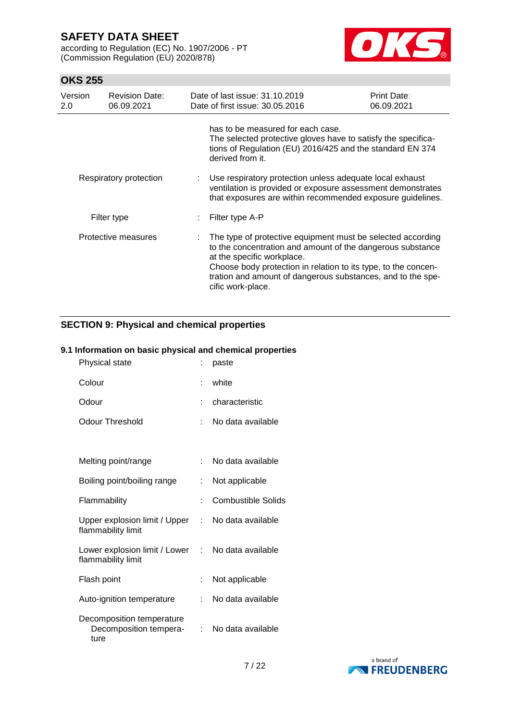according to Regulation (EC) No. 1907/2006 - PT (Commission Regulation (EU) 2020/878)



## **OKS 255**

| Version<br>2.0 | <b>Revision Date:</b><br>06.09.2021 | Date of last issue: 31.10.2019<br>Date of first issue: 30.05.2016                                                                                                                                                                                                                                             | Print Date:<br>06.09.2021 |
|----------------|-------------------------------------|---------------------------------------------------------------------------------------------------------------------------------------------------------------------------------------------------------------------------------------------------------------------------------------------------------------|---------------------------|
|                |                                     | has to be measured for each case.<br>The selected protective gloves have to satisfy the specifica-<br>tions of Regulation (EU) 2016/425 and the standard EN 374<br>derived from it.                                                                                                                           |                           |
|                | Respiratory protection              | Use respiratory protection unless adequate local exhaust<br>ventilation is provided or exposure assessment demonstrates<br>that exposures are within recommended exposure guidelines.                                                                                                                         |                           |
|                | Filter type                         | Filter type A-P                                                                                                                                                                                                                                                                                               |                           |
|                | Protective measures                 | The type of protective equipment must be selected according<br>to the concentration and amount of the dangerous substance<br>at the specific workplace.<br>Choose body protection in relation to its type, to the concen-<br>tration and amount of dangerous substances, and to the spe-<br>cific work-place. |                           |

### **SECTION 9: Physical and chemical properties**

#### **9.1 Information on basic physical and chemical properties**

| Physical state                                              |    | paste                     |
|-------------------------------------------------------------|----|---------------------------|
| Colour                                                      |    | white                     |
| Odour                                                       |    | characteristic            |
| <b>Odour Threshold</b>                                      | ÷. | No data available         |
|                                                             |    |                           |
| Melting point/range                                         |    | No data available         |
| Boiling point/boiling range                                 | t. | Not applicable            |
| Flammability                                                |    | <b>Combustible Solids</b> |
| Upper explosion limit / Upper<br>flammability limit         | t. | No data available         |
| Lower explosion limit / Lower<br>flammability limit         |    | : No data available       |
| Flash point                                                 |    | Not applicable            |
| Auto-ignition temperature                                   |    | No data available         |
| Decomposition temperature<br>Decomposition tempera-<br>ture |    | No data available         |

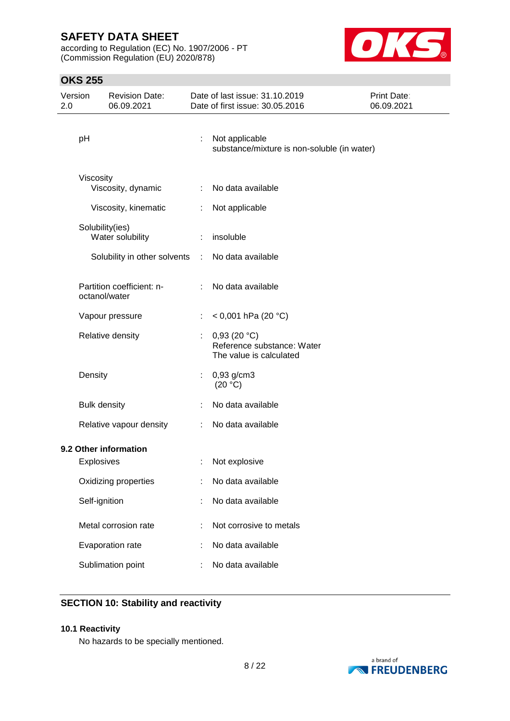according to Regulation (EC) No. 1907/2006 - PT (Commission Regulation (EU) 2020/878)



## **OKS 255**

| Version<br>2.0 |                     | <b>Revision Date:</b><br>06.09.2021 |                           | Date of last issue: 31.10.2019<br>Date of first issue: 30.05.2016    | Print Date:<br>06.09.2021 |
|----------------|---------------------|-------------------------------------|---------------------------|----------------------------------------------------------------------|---------------------------|
|                | pH                  |                                     |                           | Not applicable<br>substance/mixture is non-soluble (in water)        |                           |
|                | Viscosity           | Viscosity, dynamic                  | $\mathbb{R}^{\mathbb{Z}}$ | No data available                                                    |                           |
|                |                     | Viscosity, kinematic                | ÷                         | Not applicable                                                       |                           |
|                | Solubility(ies)     | Water solubility                    |                           | insoluble                                                            |                           |
|                |                     | Solubility in other solvents        | ÷                         | No data available                                                    |                           |
|                | octanol/water       | Partition coefficient: n-           | ÷.                        | No data available                                                    |                           |
|                |                     | Vapour pressure                     | ÷                         | < 0,001 hPa (20 °C)                                                  |                           |
|                |                     | Relative density                    |                           | 0,93(20 °C)<br>Reference substance: Water<br>The value is calculated |                           |
|                | Density             |                                     |                           | $0,93$ g/cm3<br>(20 °C)                                              |                           |
|                | <b>Bulk density</b> |                                     |                           | No data available                                                    |                           |
|                |                     | Relative vapour density             | ÷                         | No data available                                                    |                           |
|                |                     | 9.2 Other information               |                           |                                                                      |                           |
|                | <b>Explosives</b>   |                                     |                           | Not explosive                                                        |                           |
|                |                     | Oxidizing properties                |                           | No data available                                                    |                           |
|                | Self-ignition       |                                     |                           | No data available                                                    |                           |
|                |                     | Metal corrosion rate                |                           | Not corrosive to metals                                              |                           |
|                |                     | Evaporation rate                    |                           | No data available                                                    |                           |
|                |                     | Sublimation point                   |                           | No data available                                                    |                           |

# **SECTION 10: Stability and reactivity**

#### **10.1 Reactivity**

No hazards to be specially mentioned.

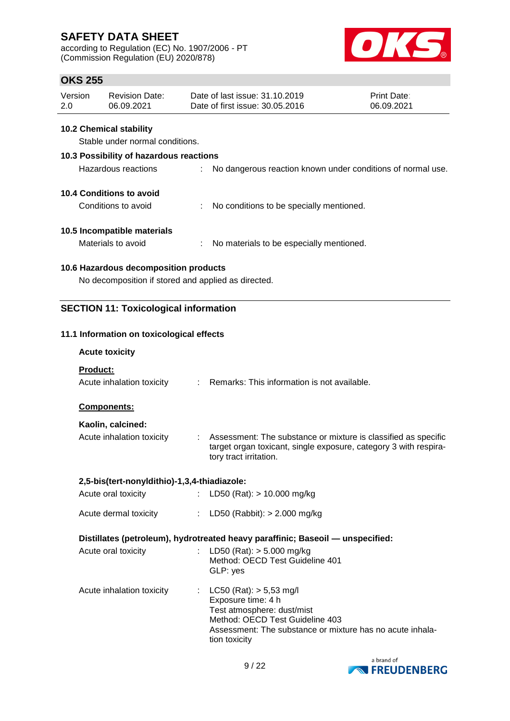according to Regulation (EC) No. 1907/2006 - PT (Commission Regulation (EU) 2020/878)



# **OKS 255**

| Version | <b>Revision Date:</b> | Date of last issue: 31.10.2019  | <b>Print Date:</b> |
|---------|-----------------------|---------------------------------|--------------------|
| 2.0     | 06.09.2021            | Date of first issue: 30.05.2016 | 06.09.2021         |

#### **10.2 Chemical stability**

Stable under normal conditions.

## **10.3 Possibility of hazardous reactions**

| No dangerous reaction known under conditions of normal use.<br>Hazardous reactions |  |
|------------------------------------------------------------------------------------|--|
|------------------------------------------------------------------------------------|--|

### **10.4 Conditions to avoid**

Conditions to avoid : No conditions to be specially mentioned.

#### **10.5 Incompatible materials**

Materials to avoid : No materials to be especially mentioned.

### **10.6 Hazardous decomposition products**

No decomposition if stored and applied as directed.

### **SECTION 11: Toxicological information**

#### **11.1 Information on toxicological effects**

| <b>Acute toxicity</b>                        |                                                                                                                                                                                                                                                                                                                                                                                                                                                               |
|----------------------------------------------|---------------------------------------------------------------------------------------------------------------------------------------------------------------------------------------------------------------------------------------------------------------------------------------------------------------------------------------------------------------------------------------------------------------------------------------------------------------|
| <b>Product:</b>                              |                                                                                                                                                                                                                                                                                                                                                                                                                                                               |
| Acute inhalation toxicity                    | : Remarks: This information is not available.                                                                                                                                                                                                                                                                                                                                                                                                                 |
| <b>Components:</b>                           |                                                                                                                                                                                                                                                                                                                                                                                                                                                               |
| Kaolin, calcined:                            |                                                                                                                                                                                                                                                                                                                                                                                                                                                               |
| Acute inhalation toxicity                    | : Assessment: The substance or mixture is classified as specific<br>target organ toxicant, single exposure, category 3 with respira-<br>tory tract irritation.                                                                                                                                                                                                                                                                                                |
| 2,5-bis(tert-nonyldithio)-1,3,4-thiadiazole: |                                                                                                                                                                                                                                                                                                                                                                                                                                                               |
| Acute oral toxicity                          | LD50 (Rat): $> 10.000$ mg/kg<br>$\mathcal{I}^{\mathcal{I}^{\mathcal{I}^{\mathcal{I}^{\mathcal{I}^{\mathcal{I}^{\mathcal{I}^{\mathcal{I}^{\mathcal{I}^{\mathcal{I}^{\mathcal{I}^{\mathcal{I}^{\mathcal{I}^{\mathcal{I}^{\mathcal{I}^{\mathcal{I}^{\mathcal{I}^{\mathcal{I}^{\mathcal{I}^{\mathcal{I}^{\mathcal{I}^{\mathcal{I}^{\mathcal{I}^{\mathcal{I}^{\mathcal{I}^{\mathcal{I}^{\mathcal{I}^{\mathcal{I}^{\mathcal{I}^{\mathcal{I}^{\mathcal{I}^{\mathcal$ |
| Acute dermal toxicity                        | : LD50 (Rabbit): $> 2.000$ mg/kg                                                                                                                                                                                                                                                                                                                                                                                                                              |
|                                              | Distillates (petroleum), hydrotreated heavy paraffinic; Baseoil - unspecified:                                                                                                                                                                                                                                                                                                                                                                                |
| Acute oral toxicity                          | : LD50 (Rat): $>$ 5.000 mg/kg<br>Method: OECD Test Guideline 401<br>GLP: yes                                                                                                                                                                                                                                                                                                                                                                                  |
| Acute inhalation toxicity                    | : $LC50$ (Rat): $> 5,53$ mg/l<br>Exposure time: 4 h<br>Test atmosphere: dust/mist<br>Method: OECD Test Guideline 403<br>Assessment: The substance or mixture has no acute inhala-<br>tion toxicity                                                                                                                                                                                                                                                            |

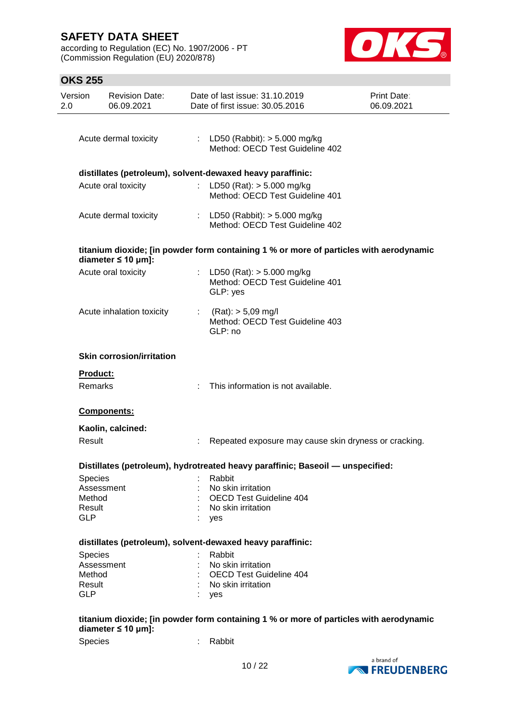according to Regulation (EC) No. 1907/2006 - PT (Commission Regulation (EU) 2020/878)



## **OKS 255**

| Version<br>2.0       | <b>Revision Date:</b><br>06.09.2021 |                | Date of last issue: 31.10.2019<br>Date of first issue: 30.05.2016                      | Print Date:<br>06.09.2021 |
|----------------------|-------------------------------------|----------------|----------------------------------------------------------------------------------------|---------------------------|
|                      |                                     |                |                                                                                        |                           |
|                      | Acute dermal toxicity               |                | : LD50 (Rabbit): $> 5.000$ mg/kg<br>Method: OECD Test Guideline 402                    |                           |
|                      |                                     |                | distillates (petroleum), solvent-dewaxed heavy paraffinic:                             |                           |
|                      | Acute oral toxicity                 |                | : LD50 (Rat): $>$ 5.000 mg/kg<br>Method: OECD Test Guideline 401                       |                           |
|                      | Acute dermal toxicity               |                | : LD50 (Rabbit): $> 5.000$ mg/kg<br>Method: OECD Test Guideline 402                    |                           |
|                      | diameter $\leq 10$ µm]:             |                | titanium dioxide; [in powder form containing 1 % or more of particles with aerodynamic |                           |
|                      | Acute oral toxicity                 |                | : LD50 (Rat): $> 5.000$ mg/kg<br>Method: OECD Test Guideline 401<br>GLP: yes           |                           |
|                      | Acute inhalation toxicity           | $\mathbb{R}^n$ | $(Rat):$ > 5,09 mg/l<br>Method: OECD Test Guideline 403<br>GLP: no                     |                           |
|                      | <b>Skin corrosion/irritation</b>    |                |                                                                                        |                           |
| Product:             |                                     |                |                                                                                        |                           |
| Remarks              |                                     |                | This information is not available.                                                     |                           |
|                      | Components:                         |                |                                                                                        |                           |
|                      | Kaolin, calcined:                   |                |                                                                                        |                           |
| Result               |                                     |                | Repeated exposure may cause skin dryness or cracking.                                  |                           |
|                      |                                     |                | Distillates (petroleum), hydrotreated heavy paraffinic; Baseoil - unspecified:         |                           |
|                      |                                     |                |                                                                                        |                           |
| Species              | Assessment                          |                | Rabbit<br>No skin irritation                                                           |                           |
| Method               |                                     |                | <b>OECD Test Guideline 404</b>                                                         |                           |
|                      |                                     |                |                                                                                        |                           |
| Result<br><b>GLP</b> |                                     |                | No skin irritation<br>yes                                                              |                           |
|                      |                                     |                |                                                                                        |                           |
|                      |                                     |                | distillates (petroleum), solvent-dewaxed heavy paraffinic:                             |                           |
| Species              |                                     |                | Rabbit                                                                                 |                           |
|                      | Assessment                          |                | No skin irritation                                                                     |                           |
| Method               |                                     |                | <b>OECD Test Guideline 404</b>                                                         |                           |
| Result               |                                     |                | No skin irritation                                                                     |                           |
| <b>GLP</b>           |                                     |                | yes                                                                                    |                           |
|                      | diameter $\leq 10$ µm]:             |                | titanium dioxide; [in powder form containing 1 % or more of particles with aerodynamic |                           |
| Species              |                                     |                | Rabbit                                                                                 |                           |
|                      |                                     |                |                                                                                        |                           |

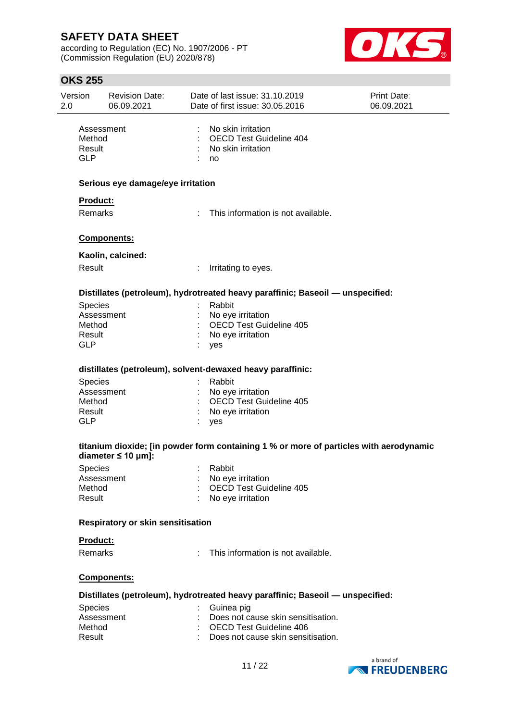according to Regulation (EC) No. 1907/2006 - PT (Commission Regulation (EU) 2020/878)



## **OKS 255**

| Version<br>2.0 |                                              | <b>Revision Date:</b><br>06.09.2021      |    | Date of last issue: 31.10.2019<br>Date of first issue: 30.05.2016                      | <b>Print Date:</b><br>06.09.2021 |  |
|----------------|----------------------------------------------|------------------------------------------|----|----------------------------------------------------------------------------------------|----------------------------------|--|
|                | Assessment<br>Method<br>Result<br><b>GLP</b> |                                          |    | No skin irritation<br><b>OECD Test Guideline 404</b><br>No skin irritation<br>no       |                                  |  |
|                |                                              | Serious eye damage/eye irritation        |    |                                                                                        |                                  |  |
|                | Product:                                     |                                          |    |                                                                                        |                                  |  |
|                | <b>Remarks</b>                               |                                          |    | : This information is not available.                                                   |                                  |  |
|                |                                              | Components:                              |    |                                                                                        |                                  |  |
|                |                                              | Kaolin, calcined:                        |    |                                                                                        |                                  |  |
|                | Result                                       |                                          | t. | Irritating to eyes.                                                                    |                                  |  |
|                |                                              |                                          |    | Distillates (petroleum), hydrotreated heavy paraffinic; Baseoil — unspecified:         |                                  |  |
|                | <b>Species</b>                               |                                          |    | Rabbit                                                                                 |                                  |  |
|                | Assessment                                   |                                          |    | No eye irritation                                                                      |                                  |  |
|                | Method                                       |                                          |    | <b>OECD Test Guideline 405</b>                                                         |                                  |  |
|                | Result                                       |                                          |    | No eye irritation                                                                      |                                  |  |
|                | <b>GLP</b>                                   |                                          |    | yes                                                                                    |                                  |  |
|                |                                              |                                          |    | distillates (petroleum), solvent-dewaxed heavy paraffinic:                             |                                  |  |
|                | Species                                      |                                          |    | Rabbit                                                                                 |                                  |  |
|                | Assessment                                   |                                          |    | No eye irritation                                                                      |                                  |  |
|                | Method                                       |                                          |    | <b>OECD Test Guideline 405</b>                                                         |                                  |  |
|                | Result<br><b>GLP</b>                         |                                          |    | No eye irritation<br>yes                                                               |                                  |  |
|                |                                              | diameter $\leq 10$ µm]:                  |    | titanium dioxide; [in powder form containing 1 % or more of particles with aerodynamic |                                  |  |
|                | Species                                      |                                          |    | : Rabbit                                                                               |                                  |  |
|                | Assessment                                   |                                          |    | No eye irritation                                                                      |                                  |  |
|                | Method                                       |                                          |    | OECD Test Guideline 405                                                                |                                  |  |
|                | Result                                       |                                          |    | No eye irritation                                                                      |                                  |  |
|                |                                              | <b>Respiratory or skin sensitisation</b> |    |                                                                                        |                                  |  |
|                | Product:                                     |                                          |    |                                                                                        |                                  |  |
|                | <b>Remarks</b>                               |                                          |    | This information is not available.                                                     |                                  |  |
|                |                                              | Components:                              |    |                                                                                        |                                  |  |
|                |                                              |                                          |    | Distillates (petroleum), hydrotreated heavy paraffinic; Baseoil - unspecified:         |                                  |  |
|                | Species                                      |                                          |    | Guinea pig                                                                             |                                  |  |
|                | Assessment                                   |                                          |    | Does not cause skin sensitisation.                                                     |                                  |  |
|                | Method                                       |                                          |    | <b>OECD Test Guideline 406</b>                                                         |                                  |  |
|                | Result                                       |                                          |    | Does not cause skin sensitisation.                                                     |                                  |  |
|                |                                              |                                          |    |                                                                                        |                                  |  |

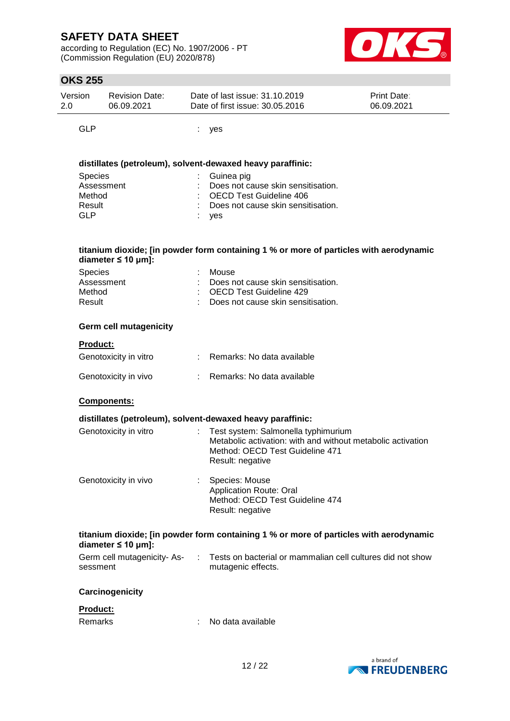according to Regulation (EC) No. 1907/2006 - PT (Commission Regulation (EU) 2020/878)



## **OKS 255**

| Version | <b>Revision Date:</b> | Date of last issue: 31.10.2019  | <b>Print Date:</b> |
|---------|-----------------------|---------------------------------|--------------------|
| 2.0     | 06.09.2021            | Date of first issue: 30.05.2016 | 06.09.2021         |
|         |                       |                                 |                    |

GLP : yes

#### **distillates (petroleum), solvent-dewaxed heavy paraffinic:**

| <b>Species</b> | $\therefore$ Guinea pig              |
|----------------|--------------------------------------|
| Assessment     | : Does not cause skin sensitisation. |
| Method         | : OECD Test Guideline 406            |
| Result         | : Does not cause skin sensitisation. |
| GLP            | : yes                                |
|                |                                      |

#### **titanium dioxide; [in powder form containing 1 % or more of particles with aerodynamic diameter ≤ 10 μm]:**

| <b>Species</b> | : Mouse                              |
|----------------|--------------------------------------|
| Assessment     | : Does not cause skin sensitisation. |
| Method         | : OECD Test Guideline 429            |
| Result         | : Does not cause skin sensitisation. |

#### **Germ cell mutagenicity**

## **Product:**

| Genotoxicity in vitro | Remarks: No data available |
|-----------------------|----------------------------|
| Genotoxicity in vivo  | Remarks: No data available |

#### **Components:**

|                       | distillates (petroleum), solvent-dewaxed heavy paraffinic:                                                                                                  |  |
|-----------------------|-------------------------------------------------------------------------------------------------------------------------------------------------------------|--|
| Genotoxicity in vitro | : Test system: Salmonella typhimurium<br>Metabolic activation: with and without metabolic activation<br>Method: OECD Test Guideline 471<br>Result: negative |  |
| Genotoxicity in vivo  | Species: Mouse<br>Application Route: Oral<br>Method: OECD Test Guideline 474                                                                                |  |

#### **titanium dioxide; [in powder form containing 1 % or more of particles with aerodynamic diameter ≤ 10 μm]:**

Result: negative

| Germ cell mutagenicity-As- | Tests on bacterial or mammalian cell cultures did not show |
|----------------------------|------------------------------------------------------------|
| sessment                   | mutagenic effects.                                         |

#### **Carcinogenicity**

#### **Product:**

| Remarks | No data available |
|---------|-------------------|
|         |                   |

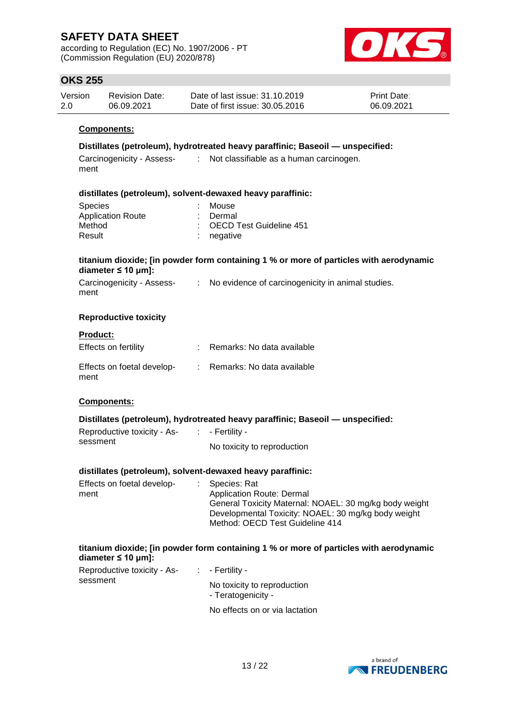according to Regulation (EC) No. 1907/2006 - PT (Commission Regulation (EU) 2020/878)



## **OKS 255**

| Version | <b>Revision Date:</b> | Date of last issue: 31.10.2019  | <b>Print Date:</b> |
|---------|-----------------------|---------------------------------|--------------------|
| 2.0     | 06.09.2021            | Date of first issue: 30.05.2016 | 06.09.2021         |

#### **Components:**

#### **Distillates (petroleum), hydrotreated heavy paraffinic; Baseoil — unspecified:**

| Carcinogenicity - Assess- | Not classifiable as a human carcinogen. |
|---------------------------|-----------------------------------------|
| ment                      |                                         |

#### **distillates (petroleum), solvent-dewaxed heavy paraffinic:**

| : Mouse                   |
|---------------------------|
| : Dermal                  |
| : OECD Test Guideline 451 |
| $:$ negative              |
|                           |

#### **titanium dioxide; [in powder form containing 1 % or more of particles with aerodynamic diameter ≤ 10 μm]:**

| Carcinogenicity - Assess- | No evidence of carcinogenicity in animal studies. |
|---------------------------|---------------------------------------------------|
| ment                      |                                                   |

#### **Reproductive toxicity**

#### **Product:**

| Effects on fertility               | : Remarks: No data available |
|------------------------------------|------------------------------|
| Effects on foetal develop-<br>ment | Remarks: No data available   |

#### **Components:**

#### **Distillates (petroleum), hydrotreated heavy paraffinic; Baseoil — unspecified:**

| Reproductive toxicity - As- | $\therefore$ - Fertility -  |
|-----------------------------|-----------------------------|
| sessment                    | No toxicity to reproduction |

#### **distillates (petroleum), solvent-dewaxed heavy paraffinic:**

| Effects on foetal develop-<br>ment | : Species: Rat<br>Application Route: Dermal<br>General Toxicity Maternal: NOAEL: 30 mg/kg body weight<br>Developmental Toxicity: NOAEL: 30 mg/kg body weight |
|------------------------------------|--------------------------------------------------------------------------------------------------------------------------------------------------------------|
|                                    | Method: OECD Test Guideline 414                                                                                                                              |

#### **titanium dioxide; [in powder form containing 1 % or more of particles with aerodynamic diameter ≤ 10 μm]:**

| Reproductive toxicity - As- | $\therefore$ - Fertility -                        |
|-----------------------------|---------------------------------------------------|
| sessment                    | No toxicity to reproduction<br>- Teratogenicity - |
|                             | No effects on or via lactation                    |

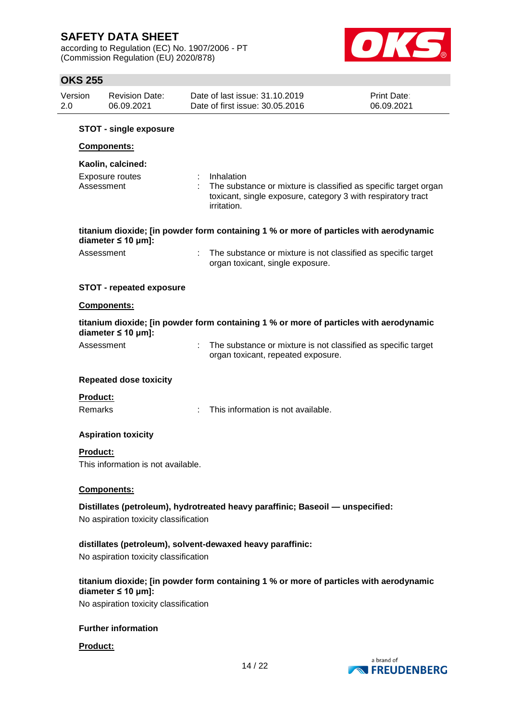according to Regulation (EC) No. 1907/2006 - PT (Commission Regulation (EU) 2020/878)



## **OKS 255**

| 2.0 | Version         | <b>Revision Date:</b><br>06.09.2021   | Date of last issue: 31.10.2019<br>Date of first issue: 30.05.2016                                                                                            | Print Date:<br>06.09.2021 |
|-----|-----------------|---------------------------------------|--------------------------------------------------------------------------------------------------------------------------------------------------------------|---------------------------|
|     |                 | <b>STOT - single exposure</b>         |                                                                                                                                                              |                           |
|     |                 | Components:                           |                                                                                                                                                              |                           |
|     |                 | Kaolin, calcined:                     |                                                                                                                                                              |                           |
|     |                 | Exposure routes<br>Assessment         | Inhalation<br>The substance or mixture is classified as specific target organ<br>toxicant, single exposure, category 3 with respiratory tract<br>irritation. |                           |
|     |                 | diameter $\leq 10$ µm]:               | titanium dioxide; [in powder form containing 1 % or more of particles with aerodynamic                                                                       |                           |
|     |                 | Assessment                            | The substance or mixture is not classified as specific target<br>organ toxicant, single exposure.                                                            |                           |
|     |                 | <b>STOT - repeated exposure</b>       |                                                                                                                                                              |                           |
|     |                 | Components:                           |                                                                                                                                                              |                           |
|     |                 | diameter $\leq 10$ µm]:               | titanium dioxide; [in powder form containing 1 % or more of particles with aerodynamic                                                                       |                           |
|     |                 | Assessment                            | The substance or mixture is not classified as specific target<br>organ toxicant, repeated exposure.                                                          |                           |
|     |                 | <b>Repeated dose toxicity</b>         |                                                                                                                                                              |                           |
|     | <b>Product:</b> |                                       |                                                                                                                                                              |                           |
|     | Remarks         |                                       | This information is not available.                                                                                                                           |                           |
|     |                 | <b>Aspiration toxicity</b>            |                                                                                                                                                              |                           |
|     | Product:        | This information is not available.    |                                                                                                                                                              |                           |
|     |                 | <b>Components:</b>                    |                                                                                                                                                              |                           |
|     |                 |                                       | Distillates (petroleum), hydrotreated heavy paraffinic; Baseoil — unspecified:                                                                               |                           |
|     |                 | No aspiration toxicity classification |                                                                                                                                                              |                           |
|     |                 |                                       | distillates (petroleum), solvent-dewaxed heavy paraffinic:                                                                                                   |                           |
|     |                 | No aspiration toxicity classification |                                                                                                                                                              |                           |
|     |                 | diameter $\leq 10$ µm]:               | titanium dioxide; [in powder form containing 1 % or more of particles with aerodynamic                                                                       |                           |
|     |                 | No aspiration toxicity classification |                                                                                                                                                              |                           |
|     |                 | <b>Further information</b>            |                                                                                                                                                              |                           |
|     | <b>Product:</b> |                                       |                                                                                                                                                              |                           |



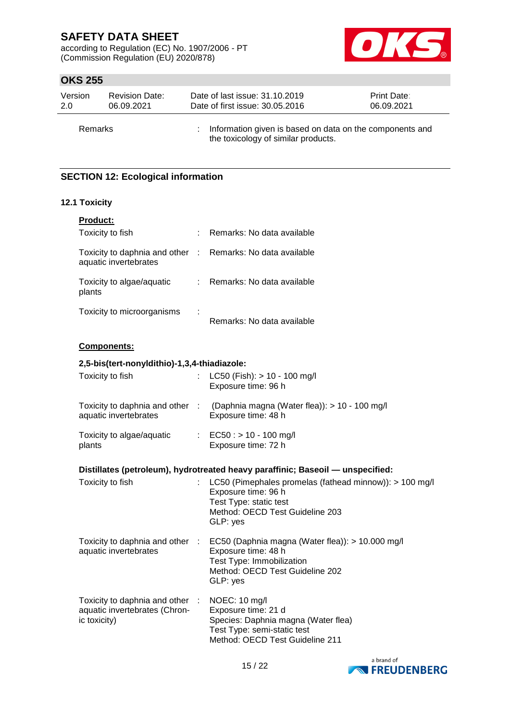according to Regulation (EC) No. 1907/2006 - PT (Commission Regulation (EU) 2020/878)



# **OKS 255**

| Version | <b>Revision Date:</b> | Date of last issue: 31.10.2019                                                                    | <b>Print Date:</b> |
|---------|-----------------------|---------------------------------------------------------------------------------------------------|--------------------|
| 2.0     | 06.09.2021            | Date of first issue: 30.05.2016                                                                   | 06.09.2021         |
| Remarks |                       | : Information given is based on data on the components and<br>the toxicology of similar products. |                    |

# **SECTION 12: Ecological information**

### **12.1 Toxicity**

| Product:                                                                         |                           |                                                                                                                                                         |
|----------------------------------------------------------------------------------|---------------------------|---------------------------------------------------------------------------------------------------------------------------------------------------------|
| Toxicity to fish                                                                 |                           | Remarks: No data available                                                                                                                              |
| Toxicity to daphnia and other :<br>aquatic invertebrates                         |                           | Remarks: No data available                                                                                                                              |
| Toxicity to algae/aquatic<br>plants                                              | $\mathbb{R}^{\mathbb{Z}}$ | Remarks: No data available                                                                                                                              |
| Toxicity to microorganisms                                                       |                           | Remarks: No data available                                                                                                                              |
| <b>Components:</b>                                                               |                           |                                                                                                                                                         |
| 2,5-bis(tert-nonyldithio)-1,3,4-thiadiazole:                                     |                           |                                                                                                                                                         |
| Toxicity to fish                                                                 |                           | LC50 (Fish): > 10 - 100 mg/l<br>Exposure time: 96 h                                                                                                     |
| aquatic invertebrates                                                            |                           | Toxicity to daphnia and other : (Daphnia magna (Water flea)): > 10 - 100 mg/l<br>Exposure time: 48 h                                                    |
| Toxicity to algae/aquatic<br>plants                                              |                           | : EC50 : > 10 - 100 mg/l<br>Exposure time: 72 h                                                                                                         |
|                                                                                  |                           | Distillates (petroleum), hydrotreated heavy paraffinic; Baseoil — unspecified:                                                                          |
| Toxicity to fish                                                                 |                           | LC50 (Pimephales promelas (fathead minnow)): > 100 mg/l<br>Exposure time: 96 h<br>Test Type: static test<br>Method: OECD Test Guideline 203<br>GLP: yes |
| Toxicity to daphnia and other :<br>aquatic invertebrates                         |                           | EC50 (Daphnia magna (Water flea)): > 10.000 mg/l<br>Exposure time: 48 h<br>Test Type: Immobilization<br>Method: OECD Test Guideline 202<br>GLP: yes     |
| Toxicity to daphnia and other :<br>aquatic invertebrates (Chron-<br>ic toxicity) |                           | NOEC: 10 mg/l<br>Exposure time: 21 d<br>Species: Daphnia magna (Water flea)<br>Test Type: semi-static test<br>Method: OECD Test Guideline 211           |

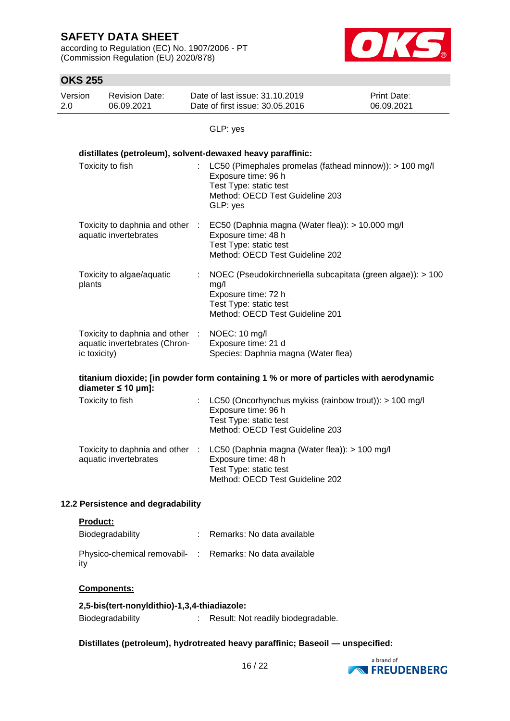according to Regulation (EC) No. 1907/2006 - PT (Commission Regulation (EU) 2020/878)



# **OKS 255**

| טנג באו        |                                                                  |                                                                                                                                                         |                           |
|----------------|------------------------------------------------------------------|---------------------------------------------------------------------------------------------------------------------------------------------------------|---------------------------|
| Version<br>2.0 | <b>Revision Date:</b><br>06.09.2021                              | Date of last issue: 31.10.2019<br>Date of first issue: 30.05.2016                                                                                       | Print Date:<br>06.09.2021 |
|                |                                                                  | GLP: yes                                                                                                                                                |                           |
|                |                                                                  | distillates (petroleum), solvent-dewaxed heavy paraffinic:                                                                                              |                           |
|                | Toxicity to fish                                                 | LC50 (Pimephales promelas (fathead minnow)): > 100 mg/l<br>Exposure time: 96 h<br>Test Type: static test<br>Method: OECD Test Guideline 203<br>GLP: yes |                           |
|                | Toxicity to daphnia and other :<br>aquatic invertebrates         | EC50 (Daphnia magna (Water flea)): > 10.000 mg/l<br>Exposure time: 48 h<br>Test Type: static test<br>Method: OECD Test Guideline 202                    |                           |
| plants         | Toxicity to algae/aquatic                                        | NOEC (Pseudokirchneriella subcapitata (green algae)): > 100<br>mg/l<br>Exposure time: 72 h<br>Test Type: static test<br>Method: OECD Test Guideline 201 |                           |
| ic toxicity)   | Toxicity to daphnia and other :<br>aquatic invertebrates (Chron- | NOEC: 10 mg/l<br>Exposure time: 21 d<br>Species: Daphnia magna (Water flea)                                                                             |                           |
|                | diameter $\leq 10$ µm]:                                          | titanium dioxide; [in powder form containing 1 % or more of particles with aerodynamic                                                                  |                           |
|                | Toxicity to fish                                                 | LC50 (Oncorhynchus mykiss (rainbow trout)): > 100 mg/l<br>Exposure time: 96 h<br>Test Type: static test<br>Method: OECD Test Guideline 203              |                           |
|                | Toxicity to daphnia and other :<br>aquatic invertebrates         | LC50 (Daphnia magna (Water flea)): > 100 mg/l<br>Exposure time: 48 h<br>Test Type: static test<br>Method: OECD Test Guideline 202                       |                           |
|                | 12.2 Persistence and degradability                               |                                                                                                                                                         |                           |

### **Product:**

| Biodegradability                                                | : Remarks: No data available |
|-----------------------------------------------------------------|------------------------------|
| Physico-chemical removabil- : Remarks: No data available<br>ity |                              |

### **Components:**

#### **2,5-bis(tert-nonyldithio)-1,3,4-thiadiazole:**

Biodegradability : Result: Not readily biodegradable.

#### **Distillates (petroleum), hydrotreated heavy paraffinic; Baseoil — unspecified:**

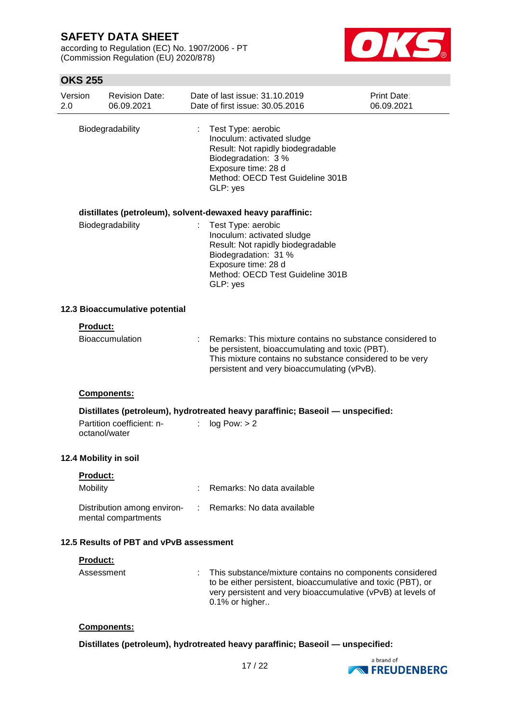according to Regulation (EC) No. 1907/2006 - PT (Commission Regulation (EU) 2020/878)



## **OKS 255**

| Version<br>2.0 |                                         | <b>Revision Date:</b><br>06.09.2021                |    | Date of last issue: 31,10,2019<br>Date of first issue: 30.05.2016                                                                                                                                                       | Print Date:<br>06.09.2021 |  |
|----------------|-----------------------------------------|----------------------------------------------------|----|-------------------------------------------------------------------------------------------------------------------------------------------------------------------------------------------------------------------------|---------------------------|--|
|                |                                         | Biodegradability                                   | t. | Test Type: aerobic<br>Inoculum: activated sludge<br>Result: Not rapidly biodegradable<br>Biodegradation: 3 %<br>Exposure time: 28 d<br>Method: OECD Test Guideline 301B<br>GLP: yes                                     |                           |  |
|                |                                         |                                                    |    | distillates (petroleum), solvent-dewaxed heavy paraffinic:                                                                                                                                                              |                           |  |
|                |                                         | Biodegradability                                   |    | Test Type: aerobic<br>Inoculum: activated sludge<br>Result: Not rapidly biodegradable<br>Biodegradation: 31 %<br>Exposure time: 28 d<br>Method: OECD Test Guideline 301B<br>GLP: yes                                    |                           |  |
|                |                                         | 12.3 Bioaccumulative potential                     |    |                                                                                                                                                                                                                         |                           |  |
|                | <b>Product:</b>                         |                                                    |    |                                                                                                                                                                                                                         |                           |  |
|                |                                         | <b>Bioaccumulation</b>                             |    | Remarks: This mixture contains no substance considered to<br>be persistent, bioaccumulating and toxic (PBT).<br>This mixture contains no substance considered to be very<br>persistent and very bioaccumulating (vPvB). |                           |  |
|                |                                         | Components:                                        |    |                                                                                                                                                                                                                         |                           |  |
|                | octanol/water                           | Partition coefficient: n-                          |    | Distillates (petroleum), hydrotreated heavy paraffinic; Baseoil — unspecified:<br>: $log Pow: > 2$                                                                                                                      |                           |  |
|                |                                         | 12.4 Mobility in soil                              |    |                                                                                                                                                                                                                         |                           |  |
|                | Product:<br>Mobility                    |                                                    |    | Remarks: No data available                                                                                                                                                                                              |                           |  |
|                |                                         | Distribution among environ-<br>mental compartments |    | Remarks: No data available                                                                                                                                                                                              |                           |  |
|                | 12.5 Results of PBT and vPvB assessment |                                                    |    |                                                                                                                                                                                                                         |                           |  |
|                | Product:                                |                                                    |    |                                                                                                                                                                                                                         |                           |  |
|                | Assessment                              |                                                    |    | This substance/mixture contains no components considered<br>to be either persistent, bioaccumulative and toxic (PBT), or<br>very persistent and very bioaccumulative (vPvB) at levels of<br>0.1% or higher              |                           |  |

### **Components:**

**Distillates (petroleum), hydrotreated heavy paraffinic; Baseoil — unspecified:**

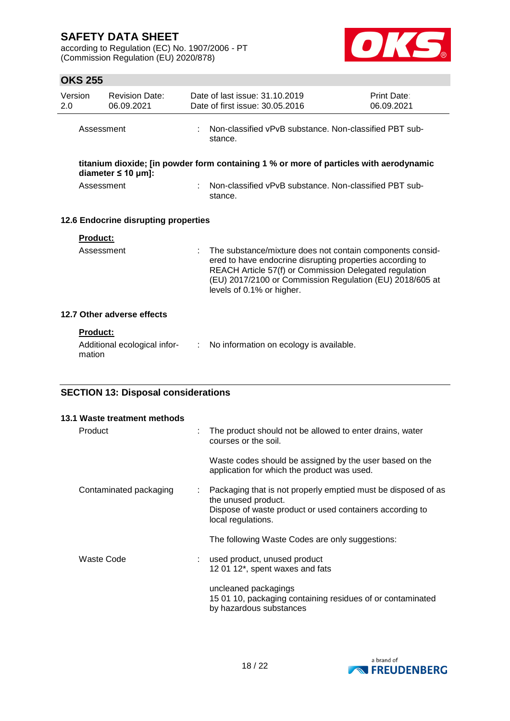according to Regulation (EC) No. 1907/2006 - PT (Commission Regulation (EU) 2020/878)



# **OKS 255**

| 2.0 | Version                   | <b>Revision Date:</b><br>06.09.2021        |    | Date of last issue: 31.10.2019<br>Date of first issue: 30.05.2016                                                                                                                                                                                                         | Print Date:<br>06.09.2021 |  |  |
|-----|---------------------------|--------------------------------------------|----|---------------------------------------------------------------------------------------------------------------------------------------------------------------------------------------------------------------------------------------------------------------------------|---------------------------|--|--|
|     | Assessment                |                                            |    | Non-classified vPvB substance, Non-classified PBT sub-<br>stance.                                                                                                                                                                                                         |                           |  |  |
|     |                           | diameter $\leq 10$ µm]:                    |    | titanium dioxide; [in powder form containing 1 % or more of particles with aerodynamic                                                                                                                                                                                    |                           |  |  |
|     | Assessment                |                                            |    | Non-classified vPvB substance. Non-classified PBT sub-<br>stance.                                                                                                                                                                                                         |                           |  |  |
|     |                           | 12.6 Endocrine disrupting properties       |    |                                                                                                                                                                                                                                                                           |                           |  |  |
|     | Product:                  |                                            |    |                                                                                                                                                                                                                                                                           |                           |  |  |
|     | Assessment                |                                            | ÷  | The substance/mixture does not contain components consid-<br>ered to have endocrine disrupting properties according to<br>REACH Article 57(f) or Commission Delegated regulation<br>(EU) 2017/2100 or Commission Regulation (EU) 2018/605 at<br>levels of 0.1% or higher. |                           |  |  |
|     |                           | 12.7 Other adverse effects                 |    |                                                                                                                                                                                                                                                                           |                           |  |  |
|     | <b>Product:</b><br>mation | Additional ecological infor-               | ÷. | No information on ecology is available.                                                                                                                                                                                                                                   |                           |  |  |
|     |                           | <b>SECTION 13: Disposal considerations</b> |    |                                                                                                                                                                                                                                                                           |                           |  |  |
|     |                           |                                            |    |                                                                                                                                                                                                                                                                           |                           |  |  |
|     |                           | 13.1 Waste treatment methods               |    |                                                                                                                                                                                                                                                                           |                           |  |  |
|     | Product                   |                                            |    | The product should not be allowed to enter drains, water<br>courses or the soil.                                                                                                                                                                                          |                           |  |  |
|     |                           |                                            |    | Waste codes should be assigned by the user based on the<br>application for which the product was used.                                                                                                                                                                    |                           |  |  |
|     |                           | Contaminated packaging                     |    | Packaging that is not properly emptied must be disposed of as<br>the unused product.<br>Dispose of waste product or used containers according to<br>local regulations.                                                                                                    |                           |  |  |
|     |                           |                                            |    | The following Waste Codes are only suggestions:                                                                                                                                                                                                                           |                           |  |  |

Waste Code : used product, unused product 12 01 12\*, spent waxes and fats

> uncleaned packagings 15 01 10, packaging containing residues of or contaminated by hazardous substances

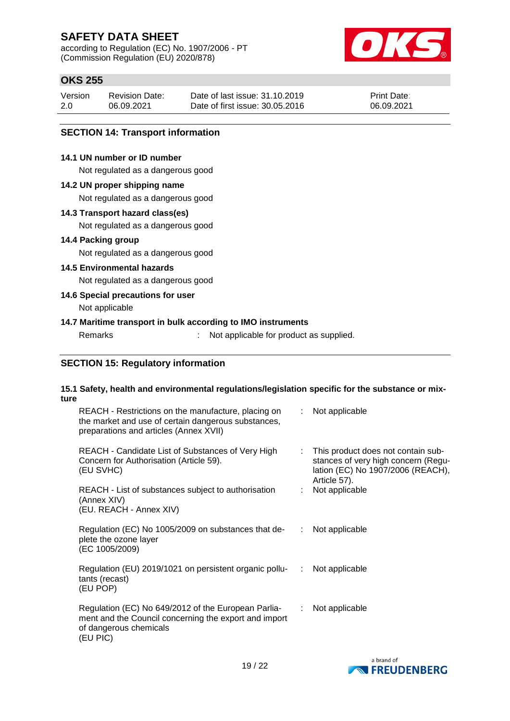according to Regulation (EC) No. 1907/2006 - PT (Commission Regulation (EU) 2020/878)



# **OKS 255**

| Version | <b>Revision Date:</b> | Date of last issue: 31,10,2019  | <b>Print Date:</b> |
|---------|-----------------------|---------------------------------|--------------------|
| 2.0     | 06.09.2021            | Date of first issue: 30.05.2016 | 06.09.2021         |

#### **SECTION 14: Transport information**

#### **14.1 UN number or ID number**

Not regulated as a dangerous good

#### **14.2 UN proper shipping name**

Not regulated as a dangerous good

#### **14.3 Transport hazard class(es)**

Not regulated as a dangerous good

#### **14.4 Packing group**

Not regulated as a dangerous good

### **14.5 Environmental hazards**

Not regulated as a dangerous good

#### **14.6 Special precautions for user**

Not applicable

#### **14.7 Maritime transport in bulk according to IMO instruments**

Remarks : Not applicable for product as supplied.

#### **SECTION 15: Regulatory information**

#### **15.1 Safety, health and environmental regulations/legislation specific for the substance or mixture**

| REACH - Restrictions on the manufacture, placing on<br>the market and use of certain dangerous substances,<br>preparations and articles (Annex XVII) | t. | Not applicable                                                                                                                 |
|------------------------------------------------------------------------------------------------------------------------------------------------------|----|--------------------------------------------------------------------------------------------------------------------------------|
| REACH - Candidate List of Substances of Very High<br>Concern for Authorisation (Article 59).<br>(EU SVHC)                                            | t. | This product does not contain sub-<br>stances of very high concern (Regu-<br>lation (EC) No 1907/2006 (REACH),<br>Article 57). |
| REACH - List of substances subject to authorisation<br>(Annex XIV)<br>(EU. REACH - Annex XIV)                                                        |    | Not applicable                                                                                                                 |
| Regulation (EC) No 1005/2009 on substances that de-<br>plete the ozone layer<br>(EC 1005/2009)                                                       |    | Not applicable                                                                                                                 |
| Regulation (EU) 2019/1021 on persistent organic pollu-<br>tants (recast)<br>(EU POP)                                                                 |    | $:$ Not applicable                                                                                                             |
| Regulation (EC) No 649/2012 of the European Parlia-<br>ment and the Council concerning the export and import<br>of dangerous chemicals<br>(EU PIC)   | ÷. | Not applicable                                                                                                                 |

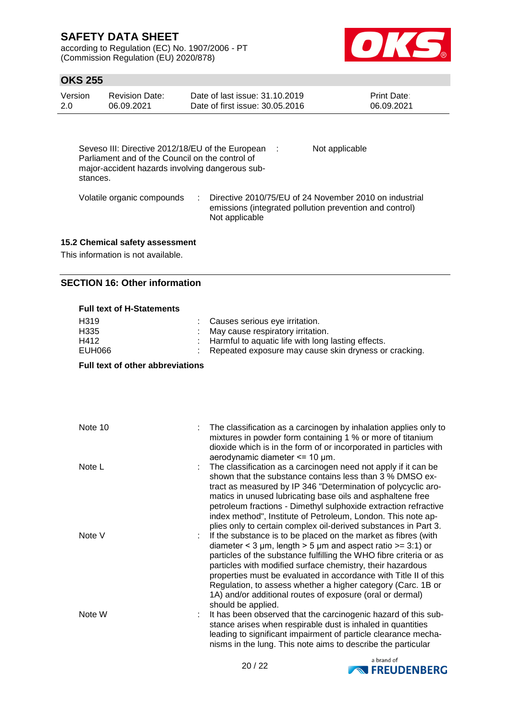according to Regulation (EC) No. 1907/2006 - PT (Commission Regulation (EU) 2020/878)



## **OKS 255**

| Version<br>2.0 | <b>Revision Date:</b><br>06.09.2021                                                                                                                      | Date of last issue: 31.10.2019<br>Date of first issue: 30.05.2016                                                                   | <b>Print Date:</b><br>06.09.2021 |
|----------------|----------------------------------------------------------------------------------------------------------------------------------------------------------|-------------------------------------------------------------------------------------------------------------------------------------|----------------------------------|
| stances.       | Seveso III: Directive 2012/18/EU of the European :<br>Parliament and of the Council on the control of<br>major-accident hazards involving dangerous sub- | Not applicable                                                                                                                      |                                  |
|                | Volatile organic compounds                                                                                                                               | Directive 2010/75/EU of 24 November 2010 on industrial<br>emissions (integrated pollution prevention and control)<br>Not applicable |                                  |

### **15.2 Chemical safety assessment**

This information is not available.

### **SECTION 16: Other information**

| <b>Full text of H-Statements</b> |  |                                                         |  |  |
|----------------------------------|--|---------------------------------------------------------|--|--|
| H <sub>319</sub>                 |  | : Causes serious eye irritation.                        |  |  |
| H335                             |  | : May cause respiratory irritation.                     |  |  |
| H412                             |  | : Harmful to aquatic life with long lasting effects.    |  |  |
| EUH066                           |  | : Repeated exposure may cause skin dryness or cracking. |  |  |

**Full text of other abbreviations**

| Note 10 | The classification as a carcinogen by inhalation applies only to<br>mixtures in powder form containing 1 % or more of titanium<br>dioxide which is in the form of or incorporated in particles with<br>aerodynamic diameter $\leq$ 10 µm.                                                                                                                                                                                                                                                         |
|---------|---------------------------------------------------------------------------------------------------------------------------------------------------------------------------------------------------------------------------------------------------------------------------------------------------------------------------------------------------------------------------------------------------------------------------------------------------------------------------------------------------|
| Note L  | The classification as a carcinogen need not apply if it can be<br>shown that the substance contains less than 3 % DMSO ex-<br>tract as measured by IP 346 "Determination of polycyclic aro-<br>matics in unused lubricating base oils and asphaltene free<br>petroleum fractions - Dimethyl sulphoxide extraction refractive<br>index method", Institute of Petroleum, London. This note ap-<br>plies only to certain complex oil-derived substances in Part 3.                                   |
| Note V  | If the substance is to be placed on the market as fibres (with<br>diameter < 3 $\mu$ m, length > 5 $\mu$ m and aspect ratio >= 3:1) or<br>particles of the substance fulfilling the WHO fibre criteria or as<br>particles with modified surface chemistry, their hazardous<br>properties must be evaluated in accordance with Title II of this<br>Regulation, to assess whether a higher category (Carc. 1B or<br>1A) and/or additional routes of exposure (oral or dermal)<br>should be applied. |
| Note W  | It has been observed that the carcinogenic hazard of this sub-<br>stance arises when respirable dust is inhaled in quantities<br>leading to significant impairment of particle clearance mecha-<br>nisms in the lung. This note aims to describe the particular                                                                                                                                                                                                                                   |

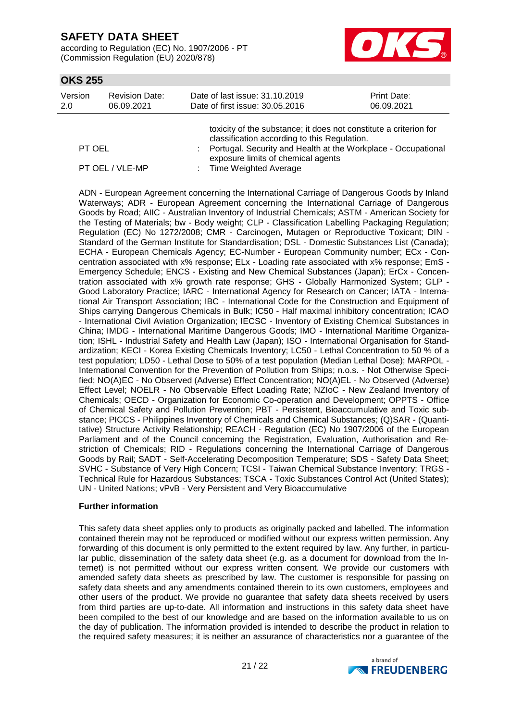according to Regulation (EC) No. 1907/2006 - PT (Commission Regulation (EU) 2020/878)



## **OKS 255**

|         |                       | tovicity of the substance: it does not constitute a criterion for |                    |
|---------|-----------------------|-------------------------------------------------------------------|--------------------|
| 2.0     | 06.09.2021            | Date of first issue: 30.05.2016                                   | 06.09.2021         |
| Version | <b>Revision Date:</b> | Date of last issue: 31.10.2019                                    | <b>Print Date:</b> |

|                 | toxicity of the substance, it does not constitute a chienon for |
|-----------------|-----------------------------------------------------------------|
|                 | classification according to this Regulation.                    |
| PT OEL          | : Portugal. Security and Health at the Workplace - Occupational |
|                 | exposure limits of chemical agents                              |
| PT OEL / VLE-MP | : Time Weighted Average                                         |
|                 |                                                                 |

ADN - European Agreement concerning the International Carriage of Dangerous Goods by Inland Waterways; ADR - European Agreement concerning the International Carriage of Dangerous Goods by Road; AIIC - Australian Inventory of Industrial Chemicals; ASTM - American Society for the Testing of Materials; bw - Body weight; CLP - Classification Labelling Packaging Regulation; Regulation (EC) No 1272/2008; CMR - Carcinogen, Mutagen or Reproductive Toxicant; DIN - Standard of the German Institute for Standardisation; DSL - Domestic Substances List (Canada); ECHA - European Chemicals Agency; EC-Number - European Community number; ECx - Concentration associated with x% response; ELx - Loading rate associated with x% response; EmS - Emergency Schedule; ENCS - Existing and New Chemical Substances (Japan); ErCx - Concentration associated with x% growth rate response; GHS - Globally Harmonized System; GLP - Good Laboratory Practice; IARC - International Agency for Research on Cancer; IATA - International Air Transport Association; IBC - International Code for the Construction and Equipment of Ships carrying Dangerous Chemicals in Bulk; IC50 - Half maximal inhibitory concentration; ICAO - International Civil Aviation Organization; IECSC - Inventory of Existing Chemical Substances in China; IMDG - International Maritime Dangerous Goods; IMO - International Maritime Organization; ISHL - Industrial Safety and Health Law (Japan); ISO - International Organisation for Standardization; KECI - Korea Existing Chemicals Inventory; LC50 - Lethal Concentration to 50 % of a test population; LD50 - Lethal Dose to 50% of a test population (Median Lethal Dose); MARPOL - International Convention for the Prevention of Pollution from Ships; n.o.s. - Not Otherwise Specified; NO(A)EC - No Observed (Adverse) Effect Concentration; NO(A)EL - No Observed (Adverse) Effect Level; NOELR - No Observable Effect Loading Rate; NZIoC - New Zealand Inventory of Chemicals; OECD - Organization for Economic Co-operation and Development; OPPTS - Office of Chemical Safety and Pollution Prevention; PBT - Persistent, Bioaccumulative and Toxic substance; PICCS - Philippines Inventory of Chemicals and Chemical Substances; (Q)SAR - (Quantitative) Structure Activity Relationship; REACH - Regulation (EC) No 1907/2006 of the European Parliament and of the Council concerning the Registration, Evaluation, Authorisation and Restriction of Chemicals; RID - Regulations concerning the International Carriage of Dangerous Goods by Rail; SADT - Self-Accelerating Decomposition Temperature; SDS - Safety Data Sheet; SVHC - Substance of Very High Concern; TCSI - Taiwan Chemical Substance Inventory; TRGS - Technical Rule for Hazardous Substances; TSCA - Toxic Substances Control Act (United States); UN - United Nations; vPvB - Very Persistent and Very Bioaccumulative

#### **Further information**

This safety data sheet applies only to products as originally packed and labelled. The information contained therein may not be reproduced or modified without our express written permission. Any forwarding of this document is only permitted to the extent required by law. Any further, in particular public, dissemination of the safety data sheet (e.g. as a document for download from the Internet) is not permitted without our express written consent. We provide our customers with amended safety data sheets as prescribed by law. The customer is responsible for passing on safety data sheets and any amendments contained therein to its own customers, employees and other users of the product. We provide no guarantee that safety data sheets received by users from third parties are up-to-date. All information and instructions in this safety data sheet have been compiled to the best of our knowledge and are based on the information available to us on the day of publication. The information provided is intended to describe the product in relation to the required safety measures; it is neither an assurance of characteristics nor a guarantee of the